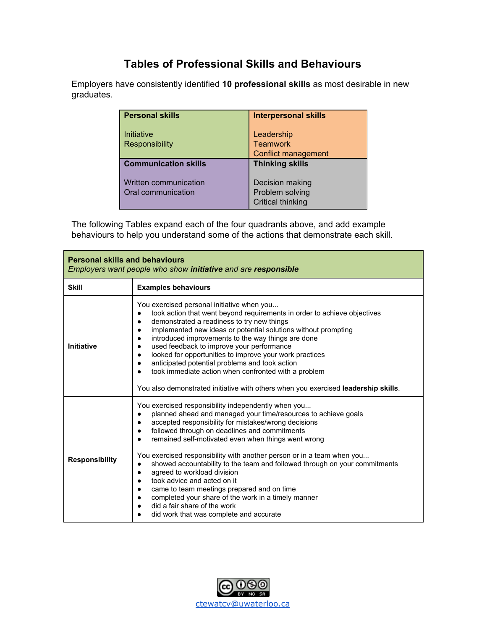## **Tables of Professional Skills and Behaviours**

Employers have consistently identified **10 professional skills** as most desirable in new graduates.

| <b>Personal skills</b>                      | <b>Interpersonal skills</b>                                    |
|---------------------------------------------|----------------------------------------------------------------|
| Initiative<br><b>Responsibility</b>         | Leadership<br><b>Teamwork</b><br><b>Conflict management</b>    |
| <b>Communication skills</b>                 | <b>Thinking skills</b>                                         |
| Written communication<br>Oral communication | Decision making<br>Problem solving<br><b>Critical thinking</b> |

The following Tables expand each of the four quadrants above, and add example behaviours to help you understand some of the actions that demonstrate each skill.

| <b>Personal skills and behaviours</b><br>Employers want people who show initiative and are responsible |                                                                                                                                                                                                                                                                                                                                                                                                                                                                                                                                                                                                                                                                                                                                                                                |  |
|--------------------------------------------------------------------------------------------------------|--------------------------------------------------------------------------------------------------------------------------------------------------------------------------------------------------------------------------------------------------------------------------------------------------------------------------------------------------------------------------------------------------------------------------------------------------------------------------------------------------------------------------------------------------------------------------------------------------------------------------------------------------------------------------------------------------------------------------------------------------------------------------------|--|
| <b>Skill</b>                                                                                           | <b>Examples behaviours</b>                                                                                                                                                                                                                                                                                                                                                                                                                                                                                                                                                                                                                                                                                                                                                     |  |
| <b>Initiative</b>                                                                                      | You exercised personal initiative when you<br>took action that went beyond requirements in order to achieve objectives<br>٠<br>demonstrated a readiness to try new things<br>$\bullet$<br>implemented new ideas or potential solutions without prompting<br>$\bullet$<br>introduced improvements to the way things are done<br>٠<br>used feedback to improve your performance<br>٠<br>looked for opportunities to improve your work practices<br>$\bullet$<br>anticipated potential problems and took action<br>took immediate action when confronted with a problem<br>You also demonstrated initiative with others when you exercised leadership skills.                                                                                                                     |  |
| <b>Responsibility</b>                                                                                  | You exercised responsibility independently when you<br>planned ahead and managed your time/resources to achieve goals<br>accepted responsibility for mistakes/wrong decisions<br>$\bullet$<br>followed through on deadlines and commitments<br>٠<br>remained self-motivated even when things went wrong<br>You exercised responsibility with another person or in a team when you<br>showed accountability to the team and followed through on your commitments<br>$\bullet$<br>agreed to workload division<br>$\bullet$<br>took advice and acted on it<br>$\bullet$<br>came to team meetings prepared and on time<br>$\bullet$<br>completed your share of the work in a timely manner<br>$\bullet$<br>did a fair share of the work<br>did work that was complete and accurate |  |

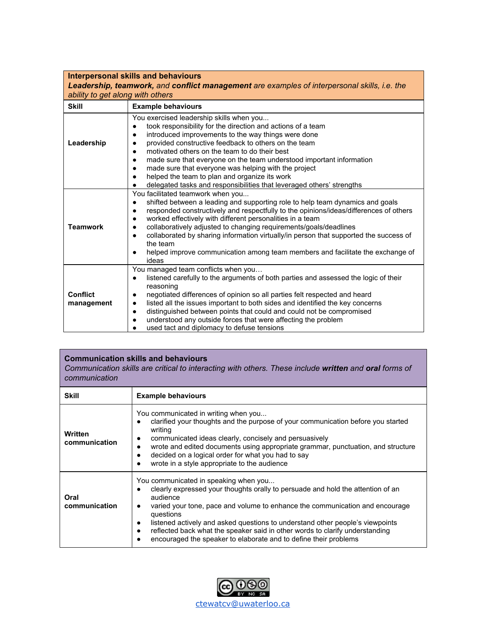| <b>Interpersonal skills and behaviours</b><br>Leadership, teamwork, and conflict management are examples of interpersonal skills, i.e. the<br>ability to get along with others |                                                                                                                                                                                                                                                                                                                                                                                                                                                                                                                                               |  |
|--------------------------------------------------------------------------------------------------------------------------------------------------------------------------------|-----------------------------------------------------------------------------------------------------------------------------------------------------------------------------------------------------------------------------------------------------------------------------------------------------------------------------------------------------------------------------------------------------------------------------------------------------------------------------------------------------------------------------------------------|--|
| <b>Skill</b>                                                                                                                                                                   | <b>Example behaviours</b>                                                                                                                                                                                                                                                                                                                                                                                                                                                                                                                     |  |
| Leadership                                                                                                                                                                     | You exercised leadership skills when you<br>took responsibility for the direction and actions of a team<br>introduced improvements to the way things were done<br>provided constructive feedback to others on the team<br>motivated others on the team to do their best<br>made sure that everyone on the team understood important information<br>made sure that everyone was helping with the project<br>helped the team to plan and organize its work<br>delegated tasks and responsibilities that leveraged others' strengths             |  |
| <b>Teamwork</b>                                                                                                                                                                | You facilitated teamwork when you<br>shifted between a leading and supporting role to help team dynamics and goals<br>responded constructively and respectfully to the opinions/ideas/differences of others<br>worked effectively with different personalities in a team<br>collaboratively adjusted to changing requirements/goals/deadlines<br>collaborated by sharing information virtually/in person that supported the success of<br>the team<br>helped improve communication among team members and facilitate the exchange of<br>ideas |  |
| <b>Conflict</b><br>management                                                                                                                                                  | You managed team conflicts when you<br>listened carefully to the arguments of both parties and assessed the logic of their<br>reasoning<br>negotiated differences of opinion so all parties felt respected and heard<br>listed all the issues important to both sides and identified the key concerns<br>distinguished between points that could and could not be compromised<br>understood any outside forces that were affecting the problem<br>used tact and diplomacy to defuse tensions                                                  |  |

## **Communication skills and behaviours**

*Communication skills are critical to interacting with others. These include written and oral forms of communication*

| <b>Skill</b>                    | <b>Example behaviours</b>                                                                                                                                                                                                                                                                                                                                                                                                                                                                                     |
|---------------------------------|---------------------------------------------------------------------------------------------------------------------------------------------------------------------------------------------------------------------------------------------------------------------------------------------------------------------------------------------------------------------------------------------------------------------------------------------------------------------------------------------------------------|
| <b>Written</b><br>communication | You communicated in writing when you<br>clarified your thoughts and the purpose of your communication before you started<br>writing<br>communicated ideas clearly, concisely and persuasively<br>٠<br>wrote and edited documents using appropriate grammar, punctuation, and structure<br>$\bullet$<br>decided on a logical order for what you had to say<br>wrote in a style appropriate to the audience<br>$\bullet$                                                                                        |
| Oral<br>communication           | You communicated in speaking when you<br>clearly expressed your thoughts orally to persuade and hold the attention of an<br>audience<br>varied your tone, pace and volume to enhance the communication and encourage<br>$\bullet$<br>questions<br>listened actively and asked questions to understand other people's viewpoints<br>$\bullet$<br>reflected back what the speaker said in other words to clarify understanding<br>$\bullet$<br>encouraged the speaker to elaborate and to define their problems |